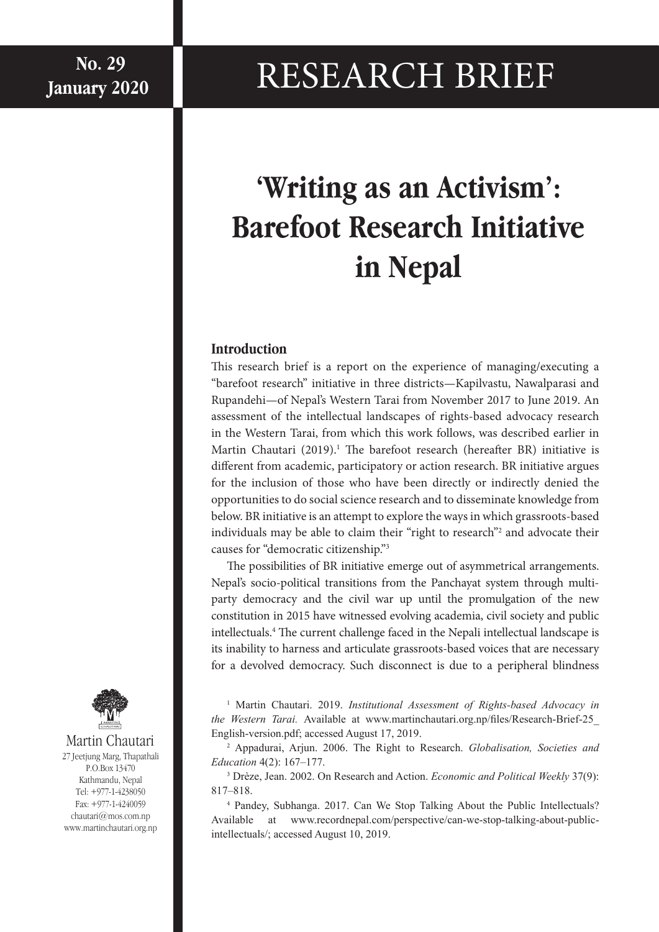# $\mathbf{N}$ No. 29<br><sub>uary 2020</sub> RESEARCH BRIEF

# **'Writing as an Activism': Barefoot Research Initiative in Nepal**

#### **Introduction**

This research brief is a report on the experience of managing/executing a "barefoot research" initiative in three districts—Kapilvastu, Nawalparasi and Rupandehi—of Nepal's Western Tarai from November 2017 to June 2019. An assessment of the intellectual landscapes of rights-based advocacy research in the Western Tarai, from which this work follows, was described earlier in Martin Chautari (2019).<sup>1</sup> The barefoot research (hereafter BR) initiative is different from academic, participatory or action research. BR initiative argues for the inclusion of those who have been directly or indirectly denied the opportunities to do social science research and to disseminate knowledge from below. BR initiative is an attempt to explore the ways in which grassroots-based individuals may be able to claim their "right to research"2 and advocate their causes for "democratic citizenship."3

The possibilities of BR initiative emerge out of asymmetrical arrangements. Nepal's socio-political transitions from the Panchayat system through multiparty democracy and the civil war up until the promulgation of the new constitution in 2015 have witnessed evolving academia, civil society and public intellectuals.4 The current challenge faced in the Nepali intellectual landscape is its inability to harness and articulate grassroots-based voices that are necessary for a devolved democracy. Such disconnect is due to a peripheral blindness

<sup>1</sup> Martin Chautari. 2019. Institutional Assessment of Rights-based Advocacy in *the Western Tarai.* Available at www.martinchautari.org.np/files/Research-Brief-25\_ English-version.pdf; accessed August 17, 2019.

2 Appadurai, Arjun. 2006. The Right to Research. *Globalisation, Societies and Education* 4(2): 167–177.

3 Drèze, Jean. 2002. On Research and Action. *Economic and Political Weekly* 37(9): 817–818.

4 Pandey, Subhanga. 2017. Can We Stop Talking About the Public Intellectuals? Available at www.recordnepal.com/perspective/can-we-stop-talking-about-publicintellectuals/; accessed August 10, 2019.



Martin Chautari 27 Jeetjung Marg, Thapathali P.O.Box 13470 Kathmandu, Nepal Tel: +977-1-4238050 Fax: +977-1-4240059 chautari@mos.com.np www.martinchautari.org.np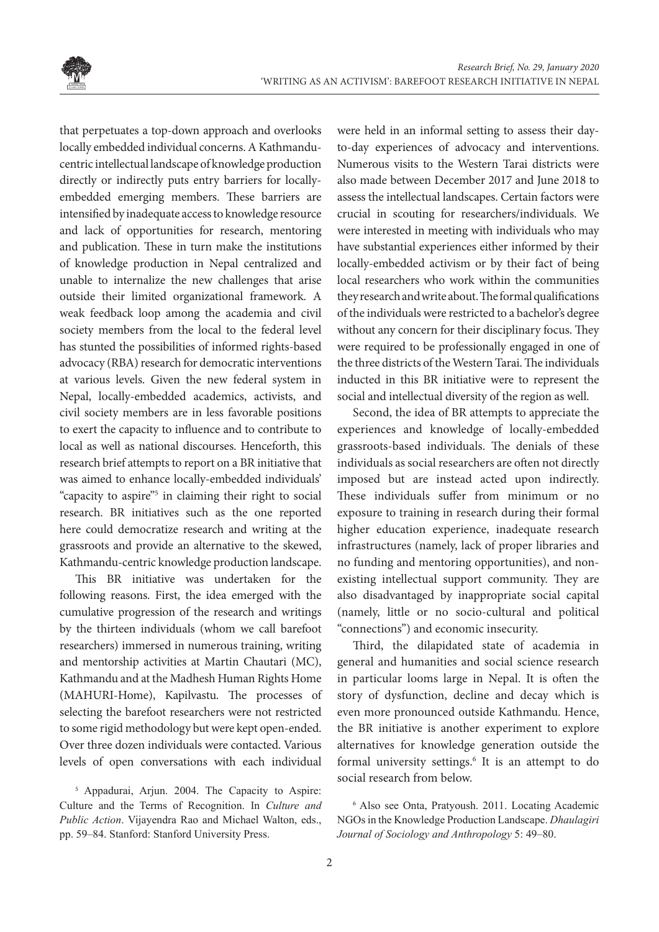

that perpetuates a top-down approach and overlooks locally embedded individual concerns. A Kathmanducentric intellectual landscape of knowledge production directly or indirectly puts entry barriers for locallyembedded emerging members. These barriers are intensified by inadequate access to knowledge resource and lack of opportunities for research, mentoring and publication. These in turn make the institutions of knowledge production in Nepal centralized and unable to internalize the new challenges that arise outside their limited organizational framework. A weak feedback loop among the academia and civil society members from the local to the federal level has stunted the possibilities of informed rights-based advocacy (RBA) research for democratic interventions at various levels. Given the new federal system in Nepal, locally-embedded academics, activists, and civil society members are in less favorable positions to exert the capacity to influence and to contribute to local as well as national discourses. Henceforth, this research brief attempts to report on a BR initiative that was aimed to enhance locally-embedded individuals' "capacity to aspire"<sup>5</sup> in claiming their right to social research. BR initiatives such as the one reported here could democratize research and writing at the grassroots and provide an alternative to the skewed, Kathmandu-centric knowledge production landscape.

This BR initiative was undertaken for the following reasons. First, the idea emerged with the cumulative progression of the research and writings by the thirteen individuals (whom we call barefoot researchers) immersed in numerous training, writing and mentorship activities at Martin Chautari (MC), Kathmandu and at the Madhesh Human Rights Home (MAHURI-Home), Kapilvastu. The processes of selecting the barefoot researchers were not restricted to some rigid methodology but were kept open-ended. Over three dozen individuals were contacted. Various levels of open conversations with each individual

5 Appadurai, Arjun. 2004. The Capacity to Aspire: Culture and the Terms of Recognition. In *Culture and Public Action*. Vijayendra Rao and Michael Walton, eds., pp. 59–84. Stanford: Stanford University Press.

were held in an informal setting to assess their dayto-day experiences of advocacy and interventions. Numerous visits to the Western Tarai districts were also made between December 2017 and June 2018 to assess the intellectual landscapes. Certain factors were crucial in scouting for researchers/individuals. We were interested in meeting with individuals who may have substantial experiences either informed by their locally-embedded activism or by their fact of being local researchers who work within the communities they research and write about. The formal qualifications of the individuals were restricted to a bachelor's degree without any concern for their disciplinary focus. They were required to be professionally engaged in one of the three districts of the Western Tarai. The individuals inducted in this BR initiative were to represent the social and intellectual diversity of the region as well.

Second, the idea of BR attempts to appreciate the experiences and knowledge of locally-embedded grassroots-based individuals. The denials of these individuals as social researchers are often not directly imposed but are instead acted upon indirectly. These individuals suffer from minimum or no exposure to training in research during their formal higher education experience, inadequate research infrastructures (namely, lack of proper libraries and no funding and mentoring opportunities), and nonexisting intellectual support community. They are also disadvantaged by inappropriate social capital (namely, little or no socio-cultural and political "connections") and economic insecurity.

Third, the dilapidated state of academia in general and humanities and social science research in particular looms large in Nepal. It is often the story of dysfunction, decline and decay which is even more pronounced outside Kathmandu. Hence, the BR initiative is another experiment to explore alternatives for knowledge generation outside the formal university settings.<sup>6</sup> It is an attempt to do social research from below.

6 Also see Onta, Pratyoush. 2011. Locating Academic NGOs in the Knowledge Production Landscape. *Dhaulagiri Journal of Sociology and Anthropology* 5: 49–80.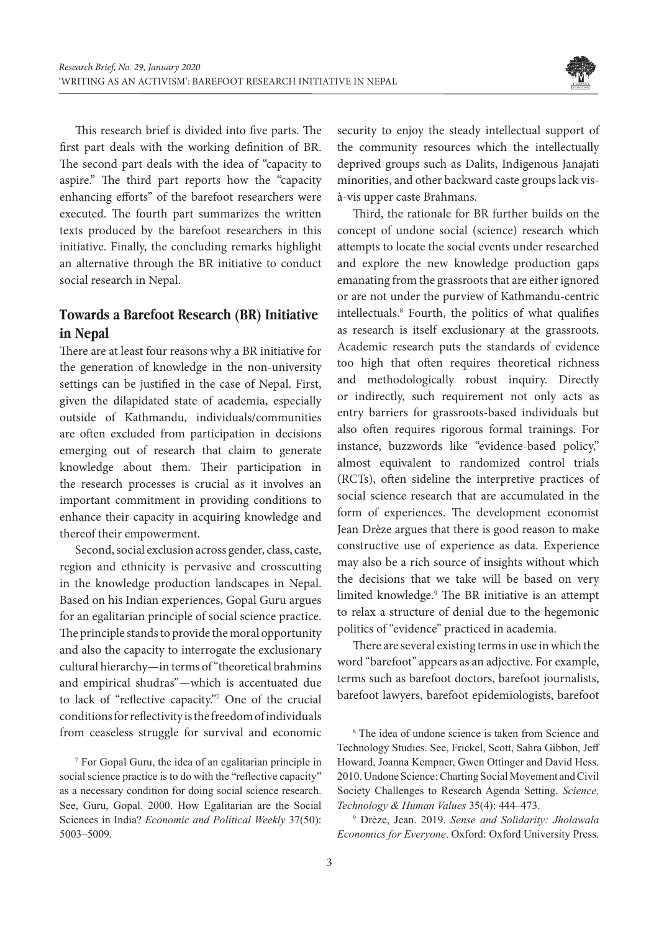

This research brief is divided into five parts. The first part deals with the working definition of BR. The second part deals with the idea of "capacity to aspire." The third part reports how the "capacity enhancing efforts" of the barefoot researchers were executed. The fourth part summarizes the written texts produced by the barefoot researchers in this initiative. Finally, the concluding remarks highlight an alternative through the BR initiative to conduct social research in Nepal.

### **Towards a Barefoot Research (BR) Initiative in Nepal**

There are at least four reasons why a BR initiative for the generation of knowledge in the non-university settings can be justified in the case of Nepal. First, given the dilapidated state of academia, especially outside of Kathmandu, individuals/communities are often excluded from participation in decisions emerging out of research that claim to generate knowledge about them. Their participation in the research processes is crucial as it involves an important commitment in providing conditions to enhance their capacity in acquiring knowledge and thereof their empowerment.

Second, social exclusion across gender, class, caste, region and ethnicity is pervasive and crosscutting in the knowledge production landscapes in Nepal. Based on his Indian experiences, Gopal Guru argues for an egalitarian principle of social science practice. The principle stands to provide the moral opportunity and also the capacity to interrogate the exclusionary cultural hierarchy—in terms of "theoretical brahmins and empirical shudras"—which is accentuated due to lack of "reflective capacity."7 One of the crucial conditions for reflectivity is the freedom of individuals from ceaseless struggle for survival and economic

7 For Gopal Guru, the idea of an egalitarian principle in social science practice is to do with the "reflective capacity" as a necessary condition for doing social science research. See, Guru, Gopal. 2000. How Egalitarian are the Social Sciences in India? *Economic and Political Weekly* 37(50): 5003–5009.

security to enjoy the steady intellectual support of the community resources which the intellectually deprived groups such as Dalits, Indigenous Janajati minorities, and other backward caste groups lack visà-vis upper caste Brahmans.

Third, the rationale for BR further builds on the concept of undone social (science) research which attempts to locate the social events under researched and explore the new knowledge production gaps emanating from the grassroots that are either ignored or are not under the purview of Kathmandu-centric intellectuals.8 Fourth, the politics of what qualifies as research is itself exclusionary at the grassroots. Academic research puts the standards of evidence too high that often requires theoretical richness and methodologically robust inquiry. Directly or indirectly, such requirement not only acts as entry barriers for grassroots-based individuals but also often requires rigorous formal trainings. For instance, buzzwords like "evidence-based policy," almost equivalent to randomized control trials (RCTs), often sideline the interpretive practices of social science research that are accumulated in the form of experiences. The development economist Jean Drèze argues that there is good reason to make constructive use of experience as data. Experience may also be a rich source of insights without which the decisions that we take will be based on very limited knowledge.9 The BR initiative is an attempt to relax a structure of denial due to the hegemonic politics of "evidence" practiced in academia.

There are several existing terms in use in which the word "barefoot" appears as an adjective. For example, terms such as barefoot doctors, barefoot journalists, barefoot lawyers, barefoot epidemiologists, barefoot

9 Drèze, Jean. 2019. *Sense and Solidarity: Jholawala Economics for Everyone*. Oxford: Oxford University Press.

<sup>8</sup> The idea of undone science is taken from Science and Technology Studies. See, Frickel, Scott, Sahra Gibbon, Jeff Howard, Joanna Kempner, Gwen Ottinger and David Hess. 2010. Undone Science: Charting Social Movement and Civil Society Challenges to Research Agenda Setting. *Science, Technology & Human Values* 35(4): 444–473.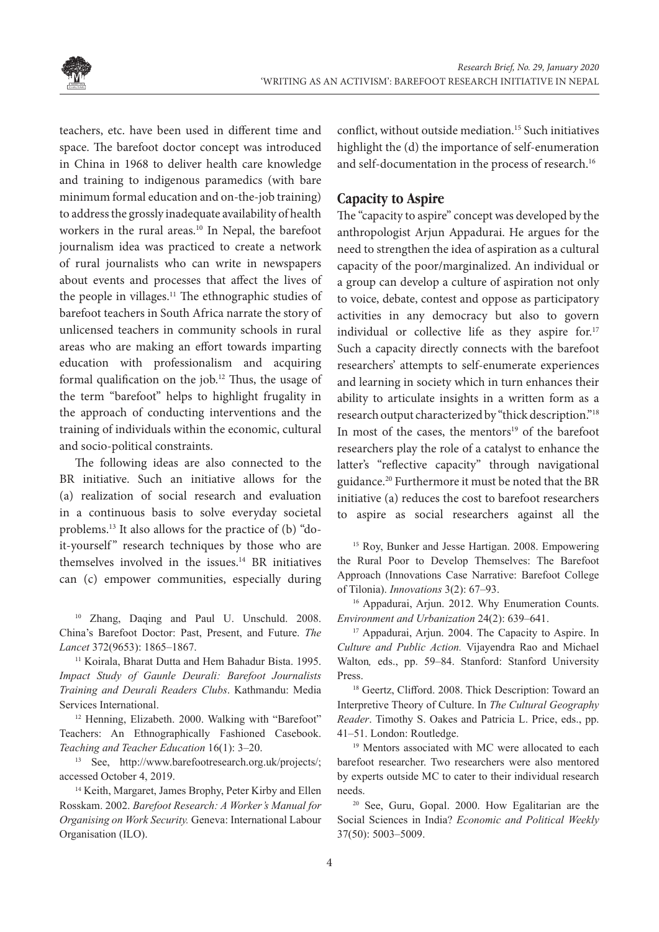

teachers, etc. have been used in different time and space. The barefoot doctor concept was introduced in China in 1968 to deliver health care knowledge and training to indigenous paramedics (with bare minimum formal education and on-the-job training) to address the grossly inadequate availability of health workers in the rural areas.<sup>10</sup> In Nepal, the barefoot journalism idea was practiced to create a network of rural journalists who can write in newspapers about events and processes that affect the lives of the people in villages.11 The ethnographic studies of barefoot teachers in South Africa narrate the story of unlicensed teachers in community schools in rural areas who are making an effort towards imparting education with professionalism and acquiring formal qualification on the job.12 Thus, the usage of the term "barefoot" helps to highlight frugality in the approach of conducting interventions and the training of individuals within the economic, cultural and socio-political constraints.

The following ideas are also connected to the BR initiative. Such an initiative allows for the (a) realization of social research and evaluation in a continuous basis to solve everyday societal problems.13 It also allows for the practice of (b) "doit-yourself" research techniques by those who are themselves involved in the issues.<sup>14</sup> BR initiatives can (c) empower communities, especially during

<sup>10</sup> Zhang, Daqing and Paul U. Unschuld. 2008. China's Barefoot Doctor: Past, Present, and Future. *The Lancet* 372(9653): 1865–1867.

<sup>11</sup> Koirala, Bharat Dutta and Hem Bahadur Bista. 1995. *Impact Study of Gaunle Deurali: Barefoot Journalists Training and Deurali Readers Clubs*. Kathmandu: Media Services International.

<sup>12</sup> Henning, Elizabeth. 2000. Walking with "Barefoot" Teachers: An Ethnographically Fashioned Casebook. *Teaching and Teacher Education* 16(1): 3–20.

<sup>13</sup> See, http://www.barefootresearch.org.uk/projects/; accessed October 4, 2019.

<sup>14</sup> Keith, Margaret, James Brophy, Peter Kirby and Ellen Rosskam. 2002. *Barefoot Research: A Worker's Manual for Organising on Work Security.* Geneva: International Labour Organisation (ILO).

conflict, without outside mediation.15 Such initiatives highlight the (d) the importance of self-enumeration and self-documentation in the process of research.<sup>16</sup>

#### **Capacity to Aspire**

The "capacity to aspire" concept was developed by the anthropologist Arjun Appadurai. He argues for the need to strengthen the idea of aspiration as a cultural capacity of the poor/marginalized. An individual or a group can develop a culture of aspiration not only to voice, debate, contest and oppose as participatory activities in any democracy but also to govern individual or collective life as they aspire for.<sup>17</sup> Such a capacity directly connects with the barefoot researchers' attempts to self-enumerate experiences and learning in society which in turn enhances their ability to articulate insights in a written form as a research output characterized by "thick description."18 In most of the cases, the mentors<sup>19</sup> of the barefoot researchers play the role of a catalyst to enhance the latter's "reflective capacity" through navigational guidance.20 Furthermore it must be noted that the BR initiative (a) reduces the cost to barefoot researchers to aspire as social researchers against all the

<sup>15</sup> Roy, Bunker and Jesse Hartigan. 2008. Empowering the Rural Poor to Develop Themselves: The Barefoot Approach (Innovations Case Narrative: Barefoot College of Tilonia). *Innovations* 3(2): 67–93.

<sup>16</sup> Appadurai, Arjun. 2012. Why Enumeration Counts. *Environment and Urbanization* 24(2): 639–641.

<sup>17</sup> Appadurai, Arjun. 2004. The Capacity to Aspire. In *Culture and Public Action.* Vijayendra Rao and Michael Walton*,* eds., pp. 59–84. Stanford: Stanford University Press.

<sup>18</sup> Geertz, Clifford. 2008. Thick Description: Toward an Interpretive Theory of Culture. In *The Cultural Geography Reader*. Timothy S. Oakes and Patricia L. Price, eds., pp. 41–51. London: Routledge.

<sup>19</sup> Mentors associated with MC were allocated to each barefoot researcher. Two researchers were also mentored by experts outside MC to cater to their individual research needs.

<sup>20</sup> See, Guru, Gopal. 2000. How Egalitarian are the Social Sciences in India? *Economic and Political Weekly*  37(50): 5003–5009.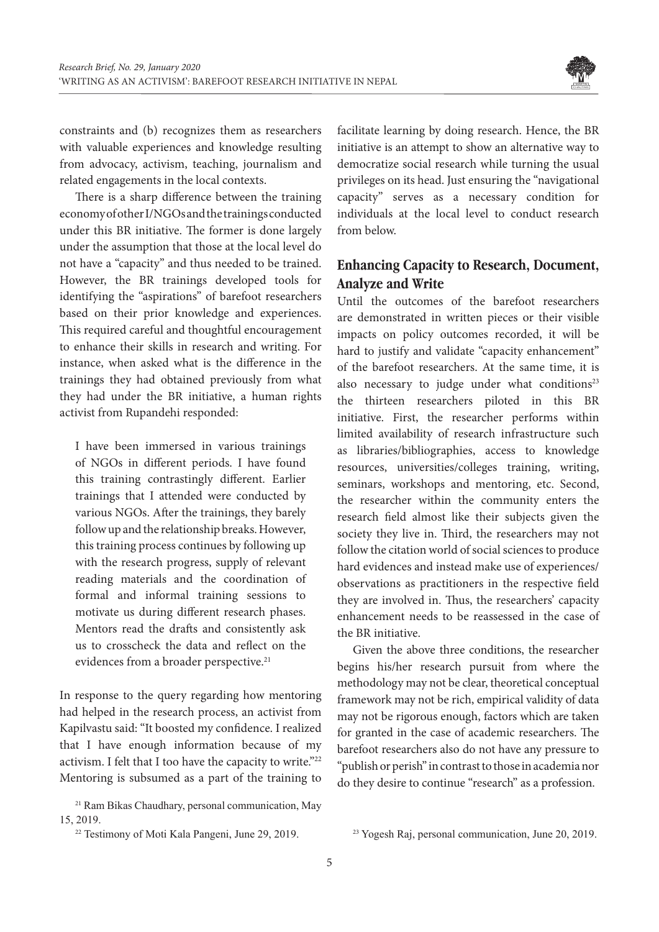

constraints and (b) recognizes them as researchers with valuable experiences and knowledge resulting from advocacy, activism, teaching, journalism and related engagements in the local contexts.

There is a sharp difference between the training economy of other I/NGOs and the trainings conducted under this BR initiative. The former is done largely under the assumption that those at the local level do not have a "capacity" and thus needed to be trained. However, the BR trainings developed tools for identifying the "aspirations" of barefoot researchers based on their prior knowledge and experiences. This required careful and thoughtful encouragement to enhance their skills in research and writing. For instance, when asked what is the difference in the trainings they had obtained previously from what they had under the BR initiative, a human rights activist from Rupandehi responded:

I have been immersed in various trainings of NGOs in different periods. I have found this training contrastingly different. Earlier trainings that I attended were conducted by various NGOs. After the trainings, they barely follow up and the relationship breaks. However, this training process continues by following up with the research progress, supply of relevant reading materials and the coordination of formal and informal training sessions to motivate us during different research phases. Mentors read the drafts and consistently ask us to crosscheck the data and reflect on the evidences from a broader perspective.<sup>21</sup>

In response to the query regarding how mentoring had helped in the research process, an activist from Kapilvastu said: "It boosted my confidence. I realized that I have enough information because of my activism. I felt that I too have the capacity to write."22 Mentoring is subsumed as a part of the training to

<sup>21</sup> Ram Bikas Chaudhary, personal communication, May 15, 2019.

facilitate learning by doing research. Hence, the BR initiative is an attempt to show an alternative way to democratize social research while turning the usual privileges on its head. Just ensuring the "navigational capacity" serves as a necessary condition for individuals at the local level to conduct research from below.

## **Enhancing Capacity to Research, Document, Analyze and Write**

Until the outcomes of the barefoot researchers are demonstrated in written pieces or their visible impacts on policy outcomes recorded, it will be hard to justify and validate "capacity enhancement" of the barefoot researchers. At the same time, it is also necessary to judge under what conditions<sup>23</sup> the thirteen researchers piloted in this BR initiative. First, the researcher performs within limited availability of research infrastructure such as libraries/bibliographies, access to knowledge resources, universities/colleges training, writing, seminars, workshops and mentoring, etc. Second, the researcher within the community enters the research field almost like their subjects given the society they live in. Third, the researchers may not follow the citation world of social sciences to produce hard evidences and instead make use of experiences/ observations as practitioners in the respective field they are involved in. Thus, the researchers' capacity enhancement needs to be reassessed in the case of the BR initiative.

Given the above three conditions, the researcher begins his/her research pursuit from where the methodology may not be clear, theoretical conceptual framework may not be rich, empirical validity of data may not be rigorous enough, factors which are taken for granted in the case of academic researchers. The barefoot researchers also do not have any pressure to "publish or perish" in contrast to those in academia nor do they desire to continue "research" as a profession.

<sup>&</sup>lt;sup>22</sup> Testimony of Moti Kala Pangeni, June 29, 2019.

<sup>&</sup>lt;sup>23</sup> Yogesh Raj, personal communication, June 20, 2019.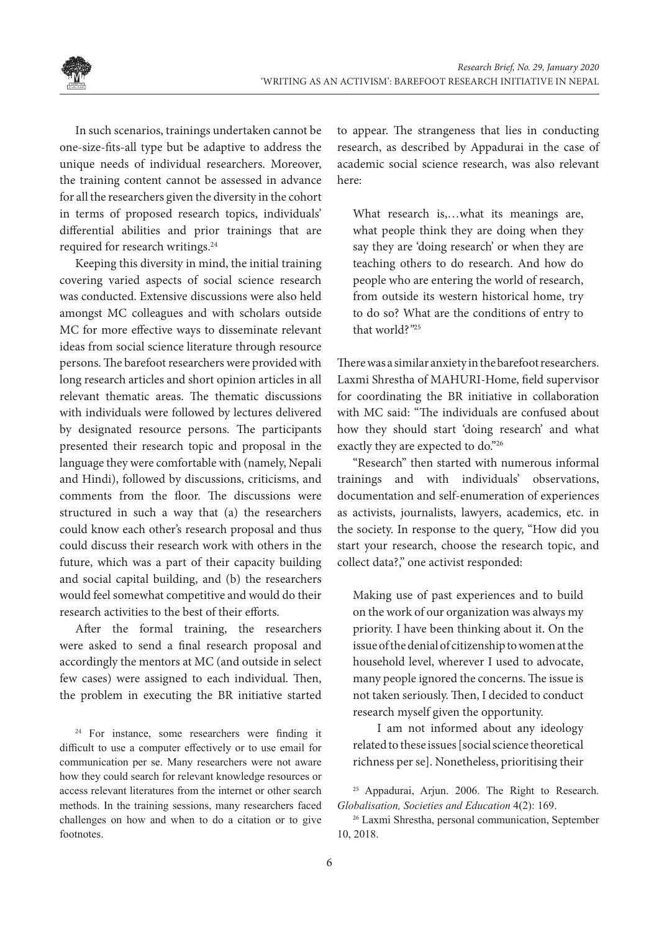

In such scenarios, trainings undertaken cannot be one-size-fits-all type but be adaptive to address the unique needs of individual researchers. Moreover, the training content cannot be assessed in advance for all the researchers given the diversity in the cohort in terms of proposed research topics, individuals' differential abilities and prior trainings that are required for research writings.<sup>24</sup>

Keeping this diversity in mind, the initial training covering varied aspects of social science research was conducted. Extensive discussions were also held amongst MC colleagues and with scholars outside MC for more effective ways to disseminate relevant ideas from social science literature through resource persons. The barefoot researchers were provided with long research articles and short opinion articles in all relevant thematic areas. The thematic discussions with individuals were followed by lectures delivered by designated resource persons. The participants presented their research topic and proposal in the language they were comfortable with (namely, Nepali and Hindi), followed by discussions, criticisms, and comments from the floor. The discussions were structured in such a way that (a) the researchers could know each other's research proposal and thus could discuss their research work with others in the future, which was a part of their capacity building and social capital building, and (b) the researchers would feel somewhat competitive and would do their research activities to the best of their efforts.

After the formal training, the researchers were asked to send a final research proposal and accordingly the mentors at MC (and outside in select few cases) were assigned to each individual. Then, the problem in executing the BR initiative started

<sup>24</sup> For instance, some researchers were finding it difficult to use a computer effectively or to use email for communication per se. Many researchers were not aware how they could search for relevant knowledge resources or access relevant literatures from the internet or other search methods. In the training sessions, many researchers faced challenges on how and when to do a citation or to give footnotes.

to appear. The strangeness that lies in conducting research, as described by Appadurai in the case of academic social science research, was also relevant here:

What research is,…what its meanings are, what people think they are doing when they say they are 'doing research' or when they are teaching others to do research. And how do people who are entering the world of research, from outside its western historical home, try to do so? What are the conditions of entry to that world?*"*<sup>25</sup>

There was a similar anxiety in the barefoot researchers. Laxmi Shrestha of MAHURI-Home, field supervisor for coordinating the BR initiative in collaboration with MC said: "The individuals are confused about how they should start 'doing research' and what exactly they are expected to do."26

"Research" then started with numerous informal trainings and with individuals' observations, documentation and self-enumeration of experiences as activists, journalists, lawyers, academics, etc. in the society. In response to the query, "How did you start your research, choose the research topic, and collect data?," one activist responded:

Making use of past experiences and to build on the work of our organization was always my priority. I have been thinking about it. On the issue of the denial of citizenship to women at the household level, wherever I used to advocate, many people ignored the concerns. The issue is not taken seriously. Then, I decided to conduct research myself given the opportunity.

I am not informed about any ideology related to these issues [social science theoretical richness per se]. Nonetheless, prioritising their

<sup>25</sup> Appadurai, Arjun. 2006. The Right to Research. *Globalisation, Societies and Education* 4(2): 169.

<sup>26</sup> Laxmi Shrestha, personal communication, September 10, 2018.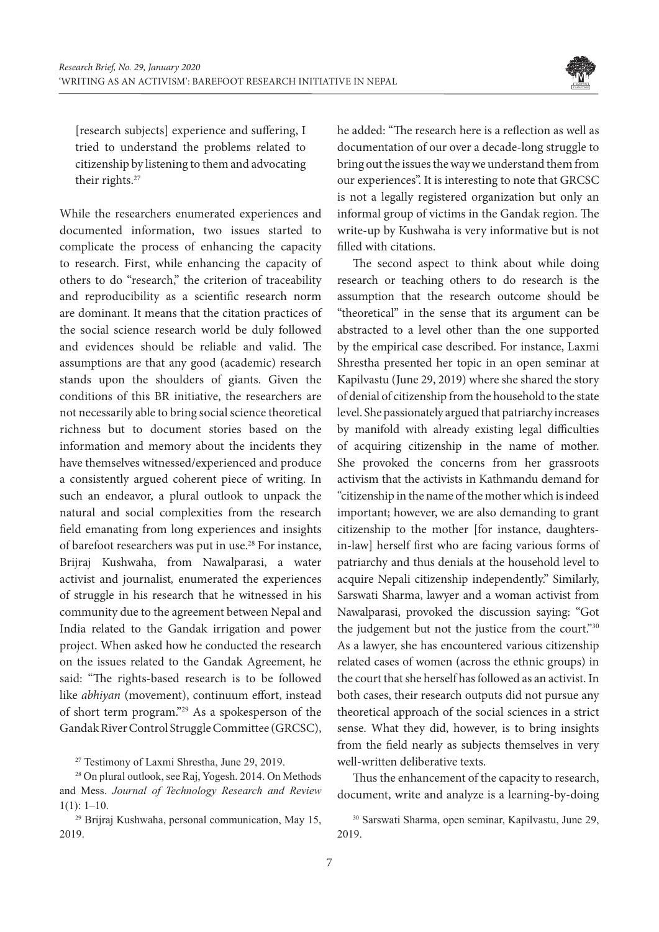

[research subjects] experience and suffering, I tried to understand the problems related to citizenship by listening to them and advocating their rights.<sup>27</sup>

While the researchers enumerated experiences and documented information, two issues started to complicate the process of enhancing the capacity to research. First, while enhancing the capacity of others to do "research," the criterion of traceability and reproducibility as a scientific research norm are dominant. It means that the citation practices of the social science research world be duly followed and evidences should be reliable and valid. The assumptions are that any good (academic) research stands upon the shoulders of giants. Given the conditions of this BR initiative, the researchers are not necessarily able to bring social science theoretical richness but to document stories based on the information and memory about the incidents they have themselves witnessed/experienced and produce a consistently argued coherent piece of writing. In such an endeavor, a plural outlook to unpack the natural and social complexities from the research field emanating from long experiences and insights of barefoot researchers was put in use.28 For instance, Brijraj Kushwaha, from Nawalparasi, a water activist and journalist*,* enumerated the experiences of struggle in his research that he witnessed in his community due to the agreement between Nepal and India related to the Gandak irrigation and power project. When asked how he conducted the research on the issues related to the Gandak Agreement, he said: "The rights-based research is to be followed like *abhiyan* (movement), continuum effort, instead of short term program."29 As a spokesperson of the Gandak River Control Struggle Committee (GRCSC),

<sup>27</sup> Testimony of Laxmi Shrestha, June 29, 2019.

<sup>28</sup> On plural outlook, see Raj, Yogesh. 2014. On Methods and Mess. *Journal of Technology Research and Review*   $1(1): 1-10.$ 

<sup>29</sup> Brijraj Kushwaha, personal communication, May 15, 2019.

he added: "The research here is a reflection as well as documentation of our over a decade-long struggle to bring out the issues the way we understand them from our experiences". It is interesting to note that GRCSC is not a legally registered organization but only an informal group of victims in the Gandak region. The write-up by Kushwaha is very informative but is not filled with citations.

The second aspect to think about while doing research or teaching others to do research is the assumption that the research outcome should be "theoretical" in the sense that its argument can be abstracted to a level other than the one supported by the empirical case described. For instance, Laxmi Shrestha presented her topic in an open seminar at Kapilvastu (June 29, 2019) where she shared the story of denial of citizenship from the household to the state level. She passionately argued that patriarchy increases by manifold with already existing legal difficulties of acquiring citizenship in the name of mother. She provoked the concerns from her grassroots activism that the activists in Kathmandu demand for "citizenship in the name of the mother which is indeed important; however, we are also demanding to grant citizenship to the mother [for instance, daughtersin-law] herself first who are facing various forms of patriarchy and thus denials at the household level to acquire Nepali citizenship independently." Similarly, Sarswati Sharma, lawyer and a woman activist from Nawalparasi, provoked the discussion saying: "Got the judgement but not the justice from the court."30 As a lawyer, she has encountered various citizenship related cases of women (across the ethnic groups) in the court that she herself has followed as an activist. In both cases, their research outputs did not pursue any theoretical approach of the social sciences in a strict sense. What they did, however, is to bring insights from the field nearly as subjects themselves in very well-written deliberative texts.

Thus the enhancement of the capacity to research, document, write and analyze is a learning-by-doing

<sup>30</sup> Sarswati Sharma, open seminar, Kapilvastu, June 29, 2019.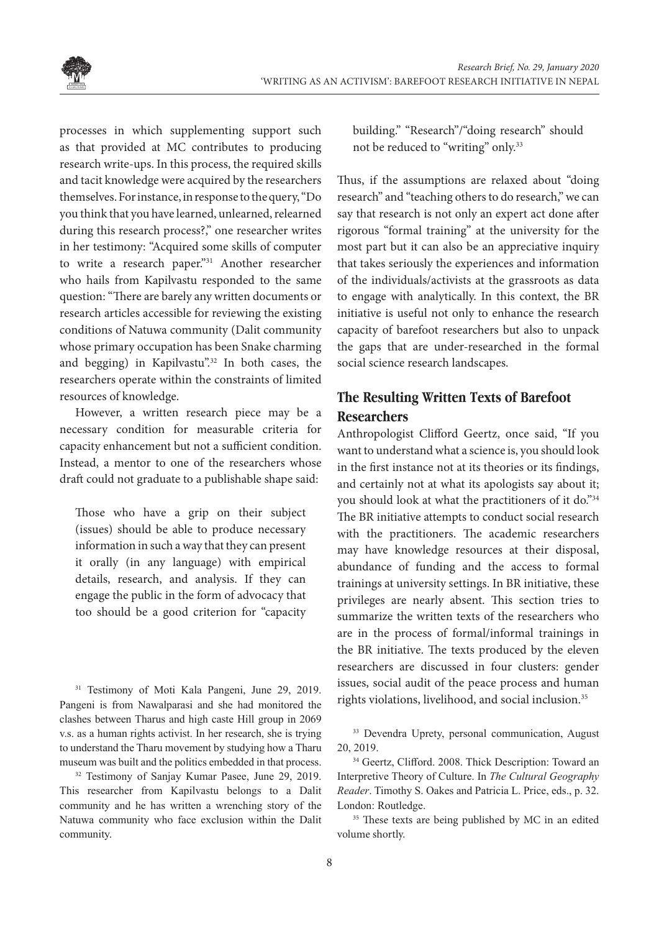

processes in which supplementing support such as that provided at MC contributes to producing research write-ups. In this process, the required skills and tacit knowledge were acquired by the researchers themselves. For instance, in response to the query, "Do you think that you have learned, unlearned, relearned during this research process?," one researcher writes in her testimony: "Acquired some skills of computer to write a research paper."<sup>31</sup> Another researcher who hails from Kapilvastu responded to the same question: "There are barely any written documents or research articles accessible for reviewing the existing conditions of Natuwa community (Dalit community whose primary occupation has been Snake charming and begging) in Kapilvastu".<sup>32</sup> In both cases, the researchers operate within the constraints of limited resources of knowledge.

However, a written research piece may be a necessary condition for measurable criteria for capacity enhancement but not a sufficient condition. Instead, a mentor to one of the researchers whose draft could not graduate to a publishable shape said:

Those who have a grip on their subject (issues) should be able to produce necessary information in such a way that they can present it orally (in any language) with empirical details, research, and analysis. If they can engage the public in the form of advocacy that too should be a good criterion for "capacity

<sup>31</sup> Testimony of Moti Kala Pangeni, June 29, 2019. Pangeni is from Nawalparasi and she had monitored the clashes between Tharus and high caste Hill group in 2069 v.s. as a human rights activist. In her research, she is trying to understand the Tharu movement by studying how a Tharu museum was built and the politics embedded in that process.

<sup>32</sup> Testimony of Sanjay Kumar Pasee, June 29, 2019. This researcher from Kapilvastu belongs to a Dalit community and he has written a wrenching story of the Natuwa community who face exclusion within the Dalit community.

building." "Research"/"doing research" should not be reduced to "writing" only.33

Thus, if the assumptions are relaxed about "doing research" and "teaching others to do research," we can say that research is not only an expert act done after rigorous "formal training" at the university for the most part but it can also be an appreciative inquiry that takes seriously the experiences and information of the individuals/activists at the grassroots as data to engage with analytically. In this context, the BR initiative is useful not only to enhance the research capacity of barefoot researchers but also to unpack the gaps that are under-researched in the formal social science research landscapes.

# **The Resulting Written Texts of Barefoot Researchers**

Anthropologist Clifford Geertz, once said, "If you want to understand what a science is, you should look in the first instance not at its theories or its findings, and certainly not at what its apologists say about it; you should look at what the practitioners of it do."34 The BR initiative attempts to conduct social research with the practitioners. The academic researchers may have knowledge resources at their disposal, abundance of funding and the access to formal trainings at university settings. In BR initiative, these privileges are nearly absent. This section tries to summarize the written texts of the researchers who are in the process of formal/informal trainings in the BR initiative. The texts produced by the eleven researchers are discussed in four clusters: gender issues, social audit of the peace process and human rights violations, livelihood, and social inclusion.35

<sup>33</sup> Devendra Uprety, personal communication, August 20, 2019.

<sup>34</sup> Geertz, Clifford. 2008. Thick Description: Toward an Interpretive Theory of Culture. In *The Cultural Geography Reader*. Timothy S. Oakes and Patricia L. Price, eds., p. 32. London: Routledge.

<sup>35</sup> These texts are being published by MC in an edited volume shortly.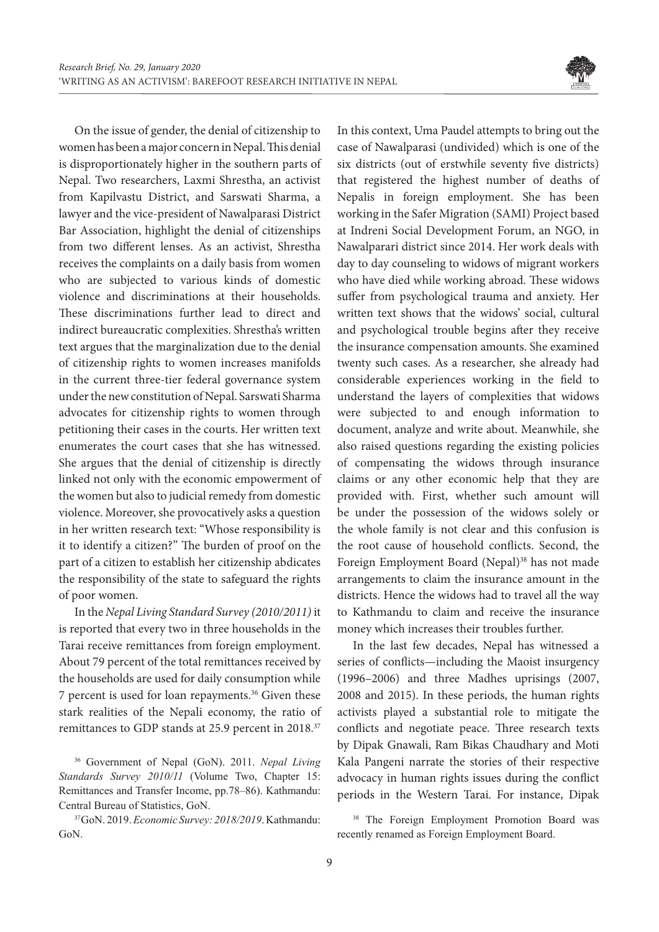

On the issue of gender, the denial of citizenship to women has been a major concern in Nepal. This denial is disproportionately higher in the southern parts of Nepal. Two researchers, Laxmi Shrestha, an activist from Kapilvastu District, and Sarswati Sharma, a lawyer and the vice-president of Nawalparasi District Bar Association, highlight the denial of citizenships from two different lenses. As an activist, Shrestha receives the complaints on a daily basis from women who are subjected to various kinds of domestic violence and discriminations at their households. These discriminations further lead to direct and indirect bureaucratic complexities. Shrestha's written text argues that the marginalization due to the denial of citizenship rights to women increases manifolds in the current three-tier federal governance system under the new constitution of Nepal. Sarswati Sharma advocates for citizenship rights to women through petitioning their cases in the courts. Her written text enumerates the court cases that she has witnessed. She argues that the denial of citizenship is directly linked not only with the economic empowerment of the women but also to judicial remedy from domestic violence. Moreover, she provocatively asks a question in her written research text: "Whose responsibility is it to identify a citizen?" The burden of proof on the part of a citizen to establish her citizenship abdicates the responsibility of the state to safeguard the rights of poor women.

In the *Nepal Living Standard Survey (2010/2011)* it is reported that every two in three households in the Tarai receive remittances from foreign employment. About 79 percent of the total remittances received by the households are used for daily consumption while 7 percent is used for loan repayments.<sup>36</sup> Given these stark realities of the Nepali economy, the ratio of remittances to GDP stands at 25.9 percent in 2018.<sup>37</sup>

<sup>36</sup> Government of Nepal (GoN). 2011. *Nepal Living Standards Survey 2010/11* (Volume Two, Chapter 15: Remittances and Transfer Income, pp.78–86). Kathmandu: Central Bureau of Statistics, GoN.

<sup>37</sup> GoN. 2019. *Economic Survey: 2018/2019*. Kathmandu: GoN.

In this context, Uma Paudel attempts to bring out the case of Nawalparasi (undivided) which is one of the six districts (out of erstwhile seventy five districts) that registered the highest number of deaths of Nepalis in foreign employment. She has been working in the Safer Migration (SAMI) Project based at Indreni Social Development Forum, an NGO, in Nawalparari district since 2014. Her work deals with day to day counseling to widows of migrant workers who have died while working abroad. These widows suffer from psychological trauma and anxiety. Her written text shows that the widows' social, cultural and psychological trouble begins after they receive the insurance compensation amounts. She examined twenty such cases. As a researcher, she already had considerable experiences working in the field to understand the layers of complexities that widows were subjected to and enough information to document, analyze and write about. Meanwhile, she also raised questions regarding the existing policies of compensating the widows through insurance claims or any other economic help that they are provided with. First, whether such amount will be under the possession of the widows solely or the whole family is not clear and this confusion is the root cause of household conflicts. Second, the Foreign Employment Board (Nepal)<sup>38</sup> has not made arrangements to claim the insurance amount in the districts. Hence the widows had to travel all the way to Kathmandu to claim and receive the insurance money which increases their troubles further.

In the last few decades, Nepal has witnessed a series of conflicts—including the Maoist insurgency (1996–2006) and three Madhes uprisings (2007, 2008 and 2015). In these periods, the human rights activists played a substantial role to mitigate the conflicts and negotiate peace. Three research texts by Dipak Gnawali, Ram Bikas Chaudhary and Moti Kala Pangeni narrate the stories of their respective advocacy in human rights issues during the conflict periods in the Western Tarai. For instance, Dipak

<sup>38</sup> The Foreign Employment Promotion Board was recently renamed as Foreign Employment Board.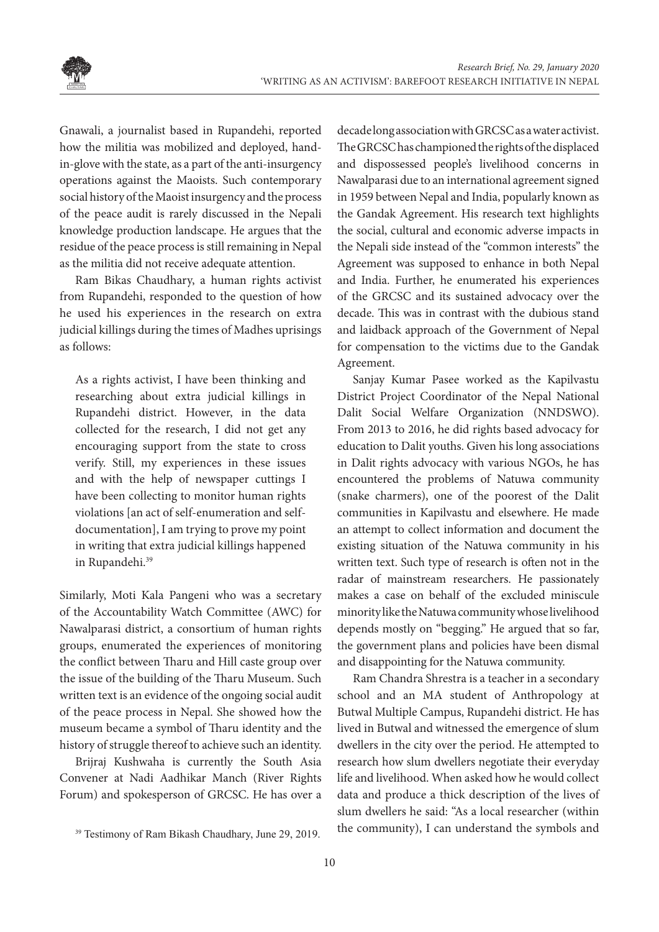

Gnawali, a journalist based in Rupandehi, reported how the militia was mobilized and deployed, handin-glove with the state, as a part of the anti-insurgency operations against the Maoists. Such contemporary social history of the Maoist insurgency and the process of the peace audit is rarely discussed in the Nepali knowledge production landscape. He argues that the residue of the peace process is still remaining in Nepal as the militia did not receive adequate attention.

Ram Bikas Chaudhary, a human rights activist from Rupandehi, responded to the question of how he used his experiences in the research on extra judicial killings during the times of Madhes uprisings as follows:

As a rights activist, I have been thinking and researching about extra judicial killings in Rupandehi district. However, in the data collected for the research, I did not get any encouraging support from the state to cross verify. Still, my experiences in these issues and with the help of newspaper cuttings I have been collecting to monitor human rights violations [an act of self-enumeration and selfdocumentation], I am trying to prove my point in writing that extra judicial killings happened in Rupandehi.<sup>39</sup>

Similarly, Moti Kala Pangeni who was a secretary of the Accountability Watch Committee (AWC) for Nawalparasi district, a consortium of human rights groups, enumerated the experiences of monitoring the conflict between Tharu and Hill caste group over the issue of the building of the Tharu Museum. Such written text is an evidence of the ongoing social audit of the peace process in Nepal. She showed how the museum became a symbol of Tharu identity and the history of struggle thereof to achieve such an identity.

Brijraj Kushwaha is currently the South Asia Convener at Nadi Aadhikar Manch (River Rights Forum) and spokesperson of GRCSC. He has over a

decade long association with GRCSC as a water activist. The GRCSC has championed the rights of the displaced and dispossessed people's livelihood concerns in Nawalparasi due to an international agreement signed in 1959 between Nepal and India, popularly known as the Gandak Agreement. His research text highlights the social, cultural and economic adverse impacts in the Nepali side instead of the "common interests" the Agreement was supposed to enhance in both Nepal and India. Further, he enumerated his experiences of the GRCSC and its sustained advocacy over the decade. This was in contrast with the dubious stand and laidback approach of the Government of Nepal for compensation to the victims due to the Gandak Agreement.

Sanjay Kumar Pasee worked as the Kapilvastu District Project Coordinator of the Nepal National Dalit Social Welfare Organization (NNDSWO). From 2013 to 2016, he did rights based advocacy for education to Dalit youths. Given his long associations in Dalit rights advocacy with various NGOs, he has encountered the problems of Natuwa community (snake charmers), one of the poorest of the Dalit communities in Kapilvastu and elsewhere. He made an attempt to collect information and document the existing situation of the Natuwa community in his written text. Such type of research is often not in the radar of mainstream researchers. He passionately makes a case on behalf of the excluded miniscule minority like the Natuwa community whose livelihood depends mostly on "begging." He argued that so far, the government plans and policies have been dismal and disappointing for the Natuwa community.

Ram Chandra Shrestra is a teacher in a secondary school and an MA student of Anthropology at Butwal Multiple Campus, Rupandehi district. He has lived in Butwal and witnessed the emergence of slum dwellers in the city over the period. He attempted to research how slum dwellers negotiate their everyday life and livelihood. When asked how he would collect data and produce a thick description of the lives of slum dwellers he said: "As a local researcher (within the community), I can understand the symbols and

<sup>&</sup>lt;sup>39</sup> Testimony of Ram Bikash Chaudhary, June 29, 2019.